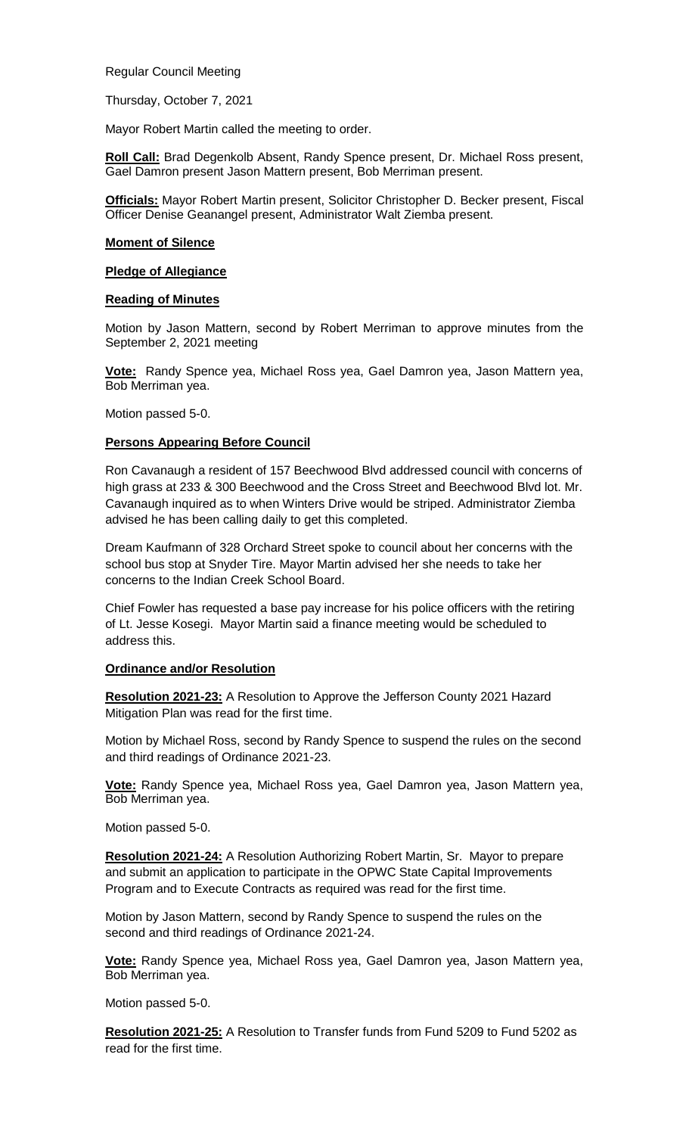Regular Council Meeting

Thursday, October 7, 2021

Mayor Robert Martin called the meeting to order.

**Roll Call:** Brad Degenkolb Absent, Randy Spence present, Dr. Michael Ross present, Gael Damron present Jason Mattern present, Bob Merriman present.

**Officials:** Mayor Robert Martin present, Solicitor Christopher D. Becker present, Fiscal Officer Denise Geanangel present, Administrator Walt Ziemba present.

## **Moment of Silence**

## **Pledge of Allegiance**

## **Reading of Minutes**

Motion by Jason Mattern, second by Robert Merriman to approve minutes from the September 2, 2021 meeting

**Vote:** Randy Spence yea, Michael Ross yea, Gael Damron yea, Jason Mattern yea, Bob Merriman yea.

Motion passed 5-0.

# **Persons Appearing Before Council**

Ron Cavanaugh a resident of 157 Beechwood Blvd addressed council with concerns of high grass at 233 & 300 Beechwood and the Cross Street and Beechwood Blvd lot. Mr. Cavanaugh inquired as to when Winters Drive would be striped. Administrator Ziemba advised he has been calling daily to get this completed.

Dream Kaufmann of 328 Orchard Street spoke to council about her concerns with the school bus stop at Snyder Tire. Mayor Martin advised her she needs to take her concerns to the Indian Creek School Board.

Chief Fowler has requested a base pay increase for his police officers with the retiring of Lt. Jesse Kosegi. Mayor Martin said a finance meeting would be scheduled to address this.

# **Ordinance and/or Resolution**

**Resolution 2021-23:** A Resolution to Approve the Jefferson County 2021 Hazard Mitigation Plan was read for the first time.

Motion by Michael Ross, second by Randy Spence to suspend the rules on the second and third readings of Ordinance 2021-23.

**Vote:** Randy Spence yea, Michael Ross yea, Gael Damron yea, Jason Mattern yea, Bob Merriman yea.

Motion passed 5-0.

**Resolution 2021-24:** A Resolution Authorizing Robert Martin, Sr. Mayor to prepare and submit an application to participate in the OPWC State Capital Improvements Program and to Execute Contracts as required was read for the first time.

Motion by Jason Mattern, second by Randy Spence to suspend the rules on the second and third readings of Ordinance 2021-24.

**Vote:** Randy Spence yea, Michael Ross yea, Gael Damron yea, Jason Mattern yea, Bob Merriman yea.

Motion passed 5-0.

**Resolution 2021-25:** A Resolution to Transfer funds from Fund 5209 to Fund 5202 as read for the first time.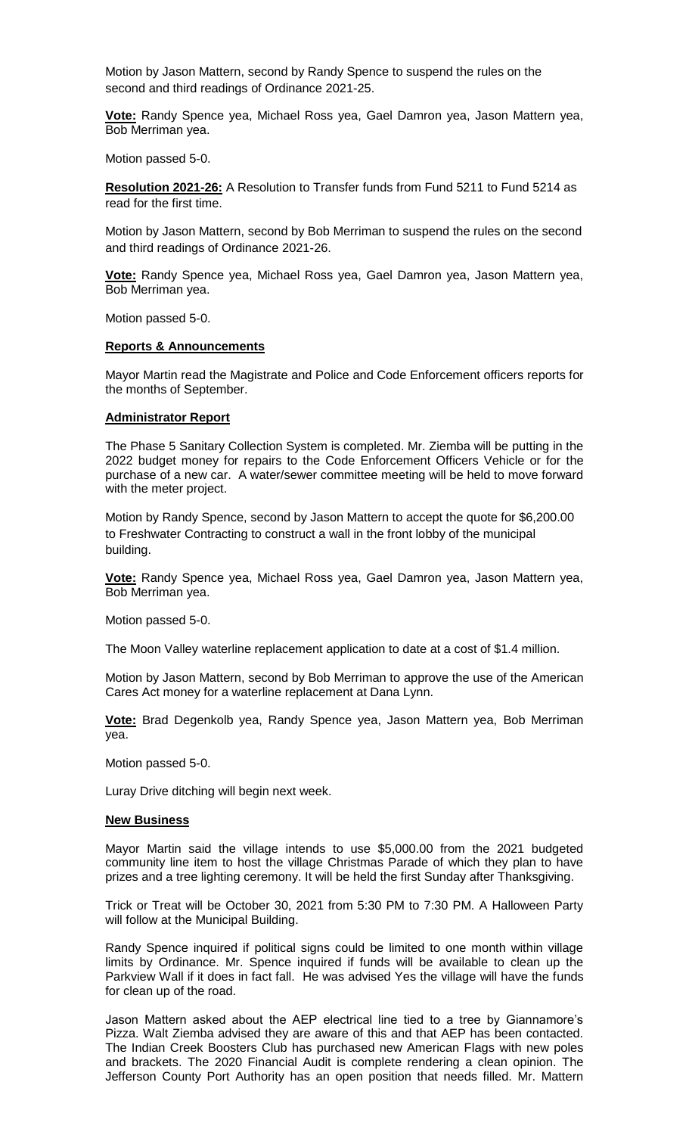Motion by Jason Mattern, second by Randy Spence to suspend the rules on the second and third readings of Ordinance 2021-25.

**Vote:** Randy Spence yea, Michael Ross yea, Gael Damron yea, Jason Mattern yea, Bob Merriman yea.

Motion passed 5-0.

**Resolution 2021-26:** A Resolution to Transfer funds from Fund 5211 to Fund 5214 as read for the first time.

Motion by Jason Mattern, second by Bob Merriman to suspend the rules on the second and third readings of Ordinance 2021-26.

**Vote:** Randy Spence yea, Michael Ross yea, Gael Damron yea, Jason Mattern yea, Bob Merriman yea.

Motion passed 5-0.

## **Reports & Announcements**

Mayor Martin read the Magistrate and Police and Code Enforcement officers reports for the months of September.

# **Administrator Report**

The Phase 5 Sanitary Collection System is completed. Mr. Ziemba will be putting in the 2022 budget money for repairs to the Code Enforcement Officers Vehicle or for the purchase of a new car. A water/sewer committee meeting will be held to move forward with the meter project.

Motion by Randy Spence, second by Jason Mattern to accept the quote for \$6,200.00 to Freshwater Contracting to construct a wall in the front lobby of the municipal building.

**Vote:** Randy Spence yea, Michael Ross yea, Gael Damron yea, Jason Mattern yea, Bob Merriman yea.

Motion passed 5-0.

The Moon Valley waterline replacement application to date at a cost of \$1.4 million.

Motion by Jason Mattern, second by Bob Merriman to approve the use of the American Cares Act money for a waterline replacement at Dana Lynn.

**Vote:** Brad Degenkolb yea, Randy Spence yea, Jason Mattern yea, Bob Merriman yea.

Motion passed 5-0.

Luray Drive ditching will begin next week.

# **New Business**

Mayor Martin said the village intends to use \$5,000.00 from the 2021 budgeted community line item to host the village Christmas Parade of which they plan to have prizes and a tree lighting ceremony. It will be held the first Sunday after Thanksgiving.

Trick or Treat will be October 30, 2021 from 5:30 PM to 7:30 PM. A Halloween Party will follow at the Municipal Building.

Randy Spence inquired if political signs could be limited to one month within village limits by Ordinance. Mr. Spence inquired if funds will be available to clean up the Parkview Wall if it does in fact fall. He was advised Yes the village will have the funds for clean up of the road.

Jason Mattern asked about the AEP electrical line tied to a tree by Giannamore's Pizza. Walt Ziemba advised they are aware of this and that AEP has been contacted. The Indian Creek Boosters Club has purchased new American Flags with new poles and brackets. The 2020 Financial Audit is complete rendering a clean opinion. The Jefferson County Port Authority has an open position that needs filled. Mr. Mattern